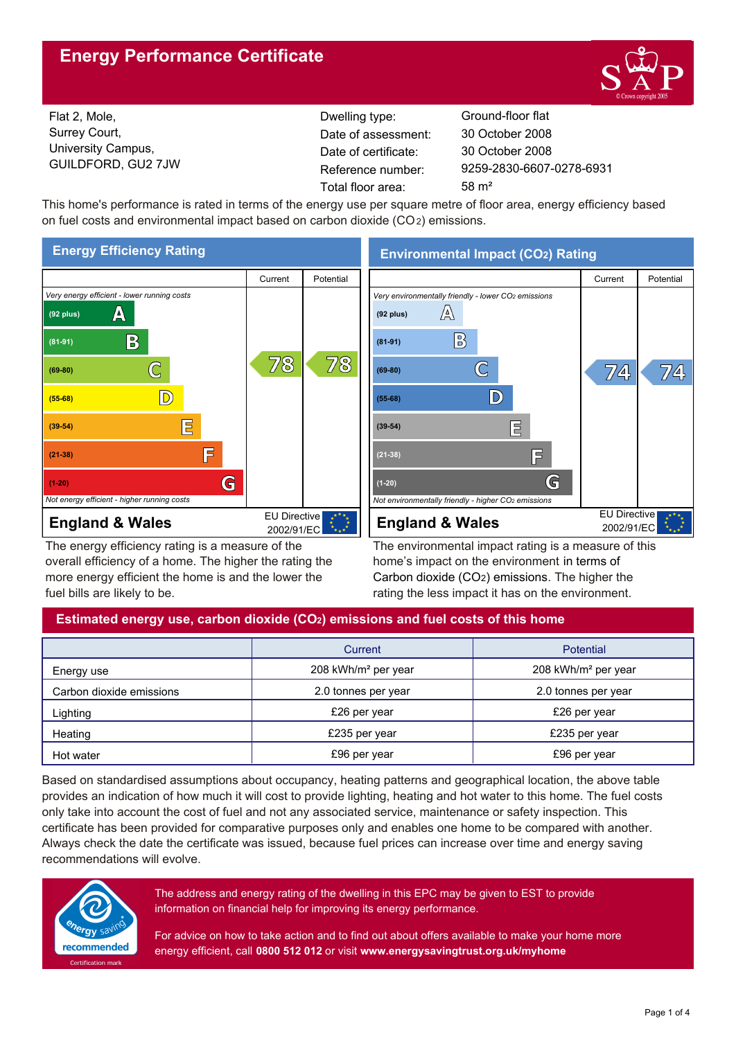# **Energy Performance Certificate**



Flat 2, Mole, Surrey Court, University Campus, GUILDFORD, GU2 7JW

Dwelling type: Ground-floor flat Date of certificate: Total floor area: 58 m<sup>2</sup> Date of assessment:

9259-2830-6607-0278-6931 30 October 2008 30 October 2008

This home's performance is rated in terms of the energy use per square metre of floor area, energy efficiency based on fuel costs and environmental impact based on carbon dioxide (CO2) emissions.



The energy efficiency rating is a measure of the overall efficiency of a home. The higher the rating the more energy efficient the home is and the lower the fuel bills are likely to be.

**Environmental Impact (CO2) Rating**



The environmental impact rating is a measure of this home's impact on the environment in terms of Carbon dioxide (CO2) emissions. The higher the rating the less impact it has on the environment.

# **Estimated energy use, carbon dioxide (CO2) emissions and fuel costs of this home**

|                          | Current                         | <b>Potential</b>                |  |
|--------------------------|---------------------------------|---------------------------------|--|
| Energy use               | 208 kWh/m <sup>2</sup> per year | 208 kWh/m <sup>2</sup> per year |  |
| Carbon dioxide emissions | 2.0 tonnes per year             | 2.0 tonnes per year             |  |
| Lighting                 | £26 per year                    | £26 per year                    |  |
| Heating                  | £235 per year                   | £235 per year                   |  |
| Hot water                | £96 per year                    | £96 per year                    |  |

Based on standardised assumptions about occupancy, heating patterns and geographical location, the above table provides an indication of how much it will cost to provide lighting, heating and hot water to this home. The fuel costs only take into account the cost of fuel and not any associated service, maintenance or safety inspection. This certificate has been provided for comparative purposes only and enables one home to be compared with another. Always check the date the certificate was issued, because fuel prices can increase over time and energy saving recommendations will evolve.



The address and energy rating of the dwelling in this EPC may be given to EST to provide information on financial help for improving its energy performance.

For advice on how to take action and to find out about offers available to make your home more energy efficient, call **0800 512 012** or visit **www.energysavingtrust.org.uk/myhome**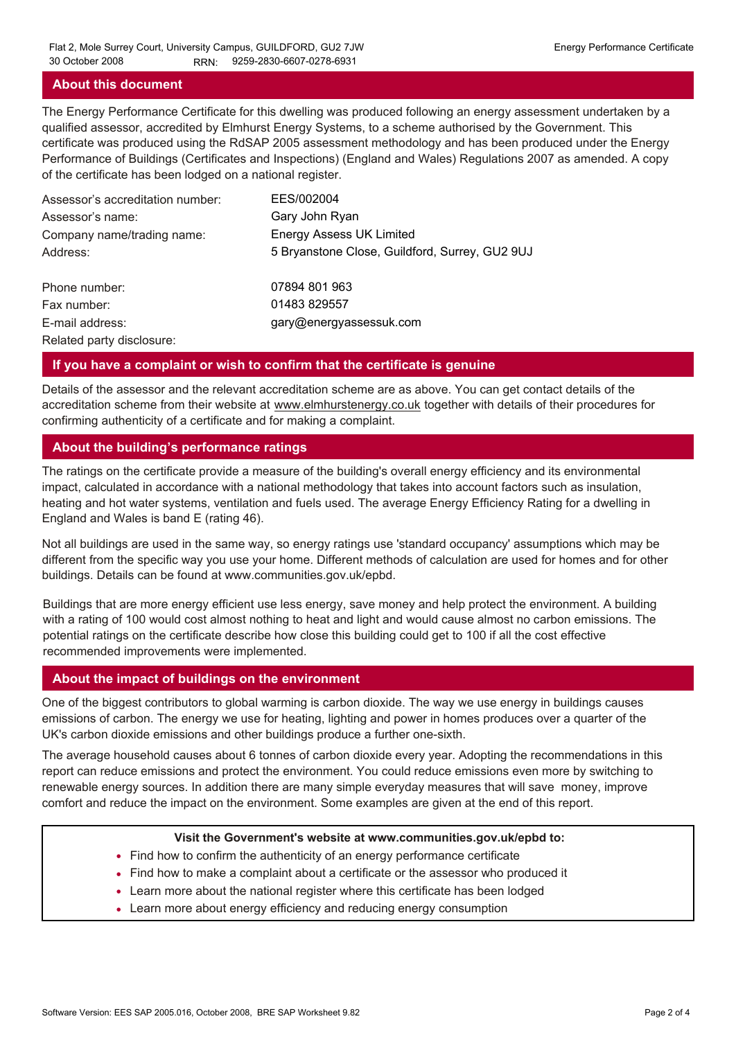### **About this document**

The Energy Performance Certificate for this dwelling was produced following an energy assessment undertaken by a qualified assessor, accredited by Elmhurst Energy Systems, to a scheme authorised by the Government. This certificate was produced using the RdSAP 2005 assessment methodology and has been produced under the Energy Performance of Buildings (Certificates and Inspections) (England and Wales) Regulations 2007 as amended. A copy of the certificate has been lodged on a national register.

| Assessor's accreditation number: | EES/002004                                     |
|----------------------------------|------------------------------------------------|
| Assessor's name:                 | Gary John Ryan                                 |
| Company name/trading name:       | <b>Energy Assess UK Limited</b>                |
| Address:                         | 5 Bryanstone Close, Guildford, Surrey, GU2 9UJ |
| Phone number:                    | 07894 801 963                                  |
| Fax number:                      | 01483 829557                                   |
| E-mail address:                  | gary@energyassessuk.com                        |
| Related party disclosure:        |                                                |

### **If you have a complaint or wish to confirm that the certificate is genuine**

Details of the assessor and the relevant accreditation scheme are as above. You can get contact details of the accreditation scheme from their website at www.elmhurstenergy.co.uk together with details of their procedures for confirming authenticity of a certificate and for making a complaint.

### **About the building's performance ratings**

The ratings on the certificate provide a measure of the building's overall energy efficiency and its environmental impact, calculated in accordance with a national methodology that takes into account factors such as insulation, heating and hot water systems, ventilation and fuels used. The average Energy Efficiency Rating for a dwelling in England and Wales is band E (rating 46).

Not all buildings are used in the same way, so energy ratings use 'standard occupancy' assumptions which may be different from the specific way you use your home. Different methods of calculation are used for homes and for other buildings. Details can be found at www.communities.gov.uk/epbd.

Buildings that are more energy efficient use less energy, save money and help protect the environment. A building with a rating of 100 would cost almost nothing to heat and light and would cause almost no carbon emissions. The potential ratings on the certificate describe how close this building could get to 100 if all the cost effective recommended improvements were implemented.

### **About the impact of buildings on the environment**

One of the biggest contributors to global warming is carbon dioxide. The way we use energy in buildings causes emissions of carbon. The energy we use for heating, lighting and power in homes produces over a quarter of the UK's carbon dioxide emissions and other buildings produce a further one-sixth.

The average household causes about 6 tonnes of carbon dioxide every year. Adopting the recommendations in this report can reduce emissions and protect the environment. You could reduce emissions even more by switching to renewable energy sources. In addition there are many simple everyday measures that will save money, improve comfort and reduce the impact on the environment. Some examples are given at the end of this report.

#### **Visit the Government's website at www.communities.gov.uk/epbd to:**

- Find how to confirm the authenticity of an energy performance certificate
- Find how to make a complaint about a certificate or the assessor who produced it •
- Learn more about the national register where this certificate has been lodged •
- Learn more about energy efficiency and reducing energy consumption •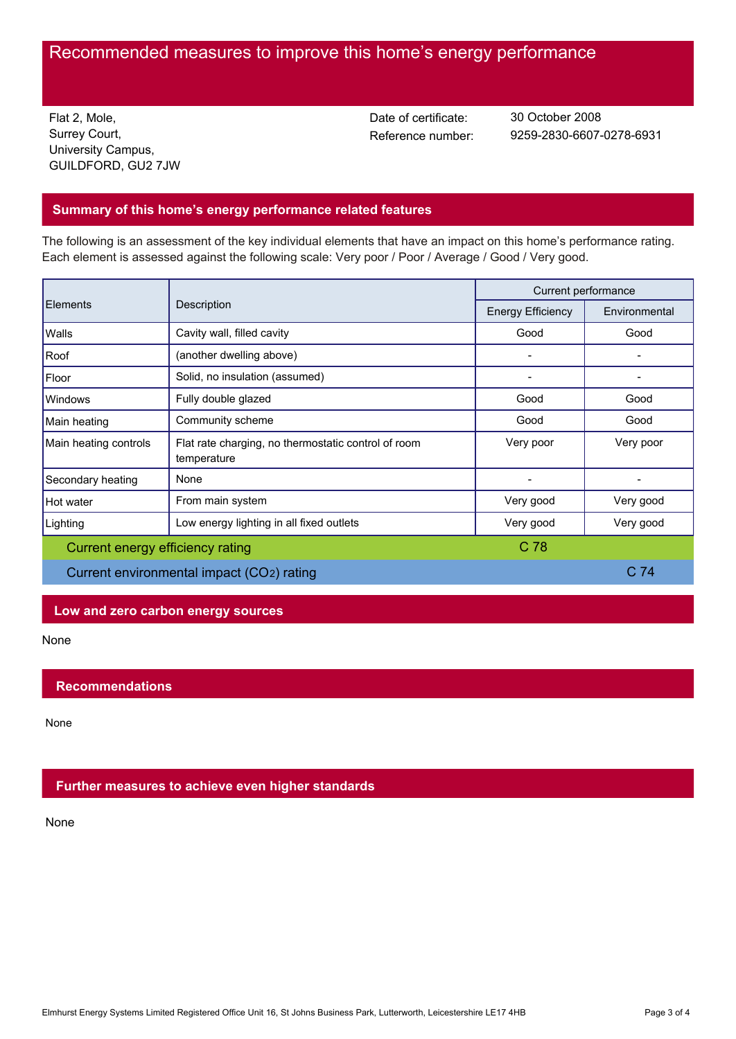# Recommended measures to improve this home's energy performance

Flat 2, Mole, Surrey Court, University Campus, GUILDFORD, GU2 7JW Date of certificate:

Reference number: 9259-2830-6607-0278-6931 30 October 2008

# **Summary of this home's energy performance related features**

The following is an assessment of the key individual elements that have an impact on this home's performance rating. Each element is assessed against the following scale: Very poor / Poor / Average / Good / Very good.

| <b>Elements</b>                           | Description                                                        | Current performance      |                 |
|-------------------------------------------|--------------------------------------------------------------------|--------------------------|-----------------|
|                                           |                                                                    | <b>Energy Efficiency</b> | Environmental   |
| Walls                                     | Cavity wall, filled cavity                                         | Good                     | Good            |
| Roof                                      | (another dwelling above)                                           |                          |                 |
| Floor                                     | Solid, no insulation (assumed)                                     |                          |                 |
| Windows                                   | Fully double glazed                                                | Good                     | Good            |
| Main heating                              | Community scheme                                                   | Good                     | Good            |
| Main heating controls                     | Flat rate charging, no thermostatic control of room<br>temperature | Very poor                | Very poor       |
| Secondary heating                         | None                                                               |                          |                 |
| Hot water                                 | From main system                                                   | Very good                | Very good       |
| Lighting                                  | Low energy lighting in all fixed outlets                           | Very good                | Very good       |
| C 78<br>Current energy efficiency rating  |                                                                    |                          |                 |
| Current environmental impact (CO2) rating |                                                                    |                          | C <sub>74</sub> |

# **Low and zero carbon energy sources**

None

# **Recommendations**

None

# **Further measures to achieve even higher standards**

None